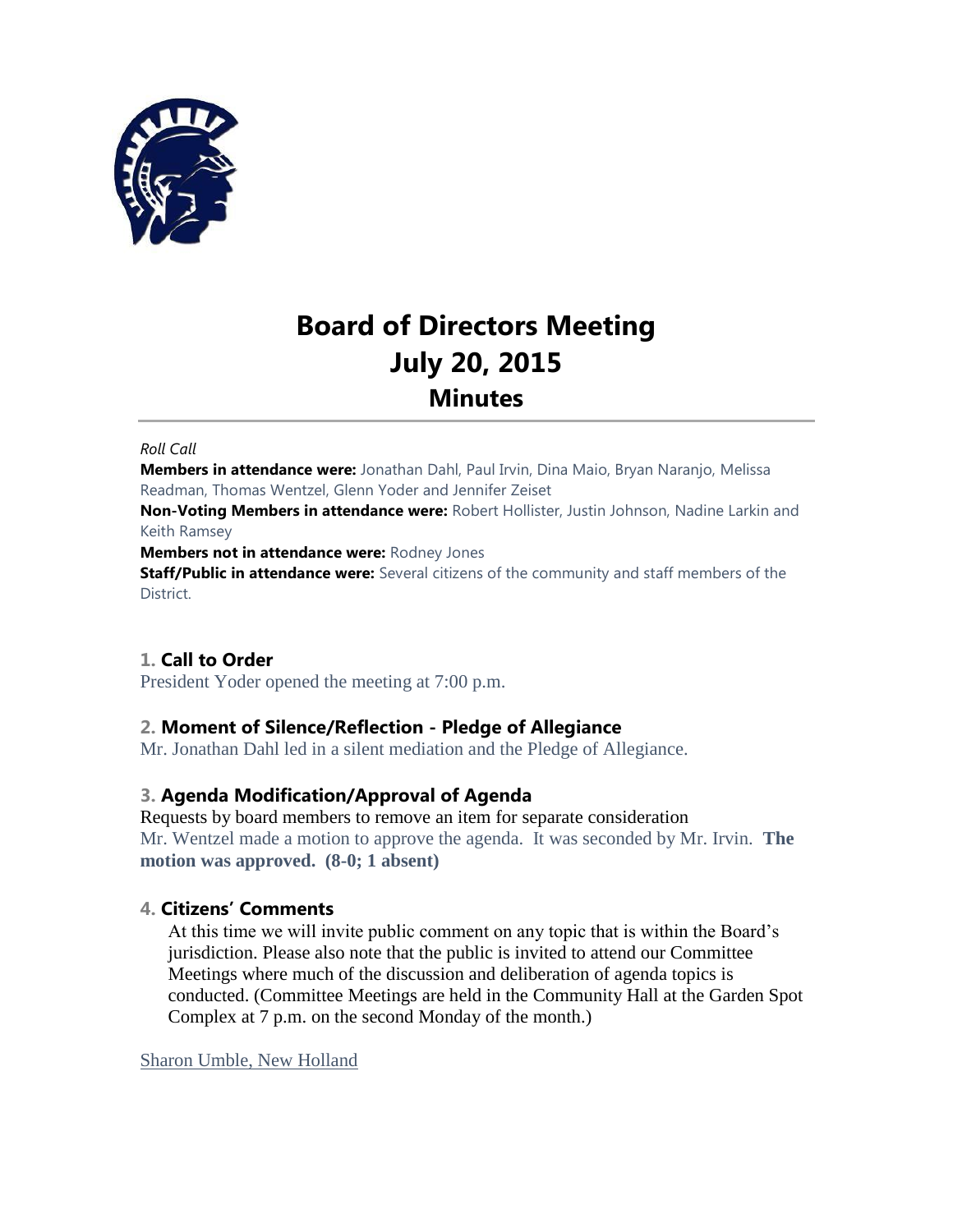

# **Board of Directors Meeting July 20, 2015 Minutes**

#### *Roll Call*

**Members in attendance were:** Jonathan Dahl, Paul Irvin, Dina Maio, Bryan Naranjo, Melissa Readman, Thomas Wentzel, Glenn Yoder and Jennifer Zeiset

**Non-Voting Members in attendance were:** Robert Hollister, Justin Johnson, Nadine Larkin and Keith Ramsey

**Members not in attendance were:** Rodney Jones

**Staff/Public in attendance were:** Several citizens of the community and staff members of the District.

# **1. Call to Order**

President Yoder opened the meeting at 7:00 p.m.

# **2. Moment of Silence/Reflection - Pledge of Allegiance**

Mr. Jonathan Dahl led in a silent mediation and the Pledge of Allegiance.

## **3. Agenda Modification/Approval of Agenda**

Requests by board members to remove an item for separate consideration Mr. Wentzel made a motion to approve the agenda. It was seconded by Mr. Irvin. **The motion was approved. (8-0; 1 absent)**

## **4. Citizens' Comments**

At this time we will invite public comment on any topic that is within the Board's jurisdiction. Please also note that the public is invited to attend our Committee Meetings where much of the discussion and deliberation of agenda topics is conducted. (Committee Meetings are held in the Community Hall at the Garden Spot Complex at 7 p.m. on the second Monday of the month.)

Sharon Umble, New Holland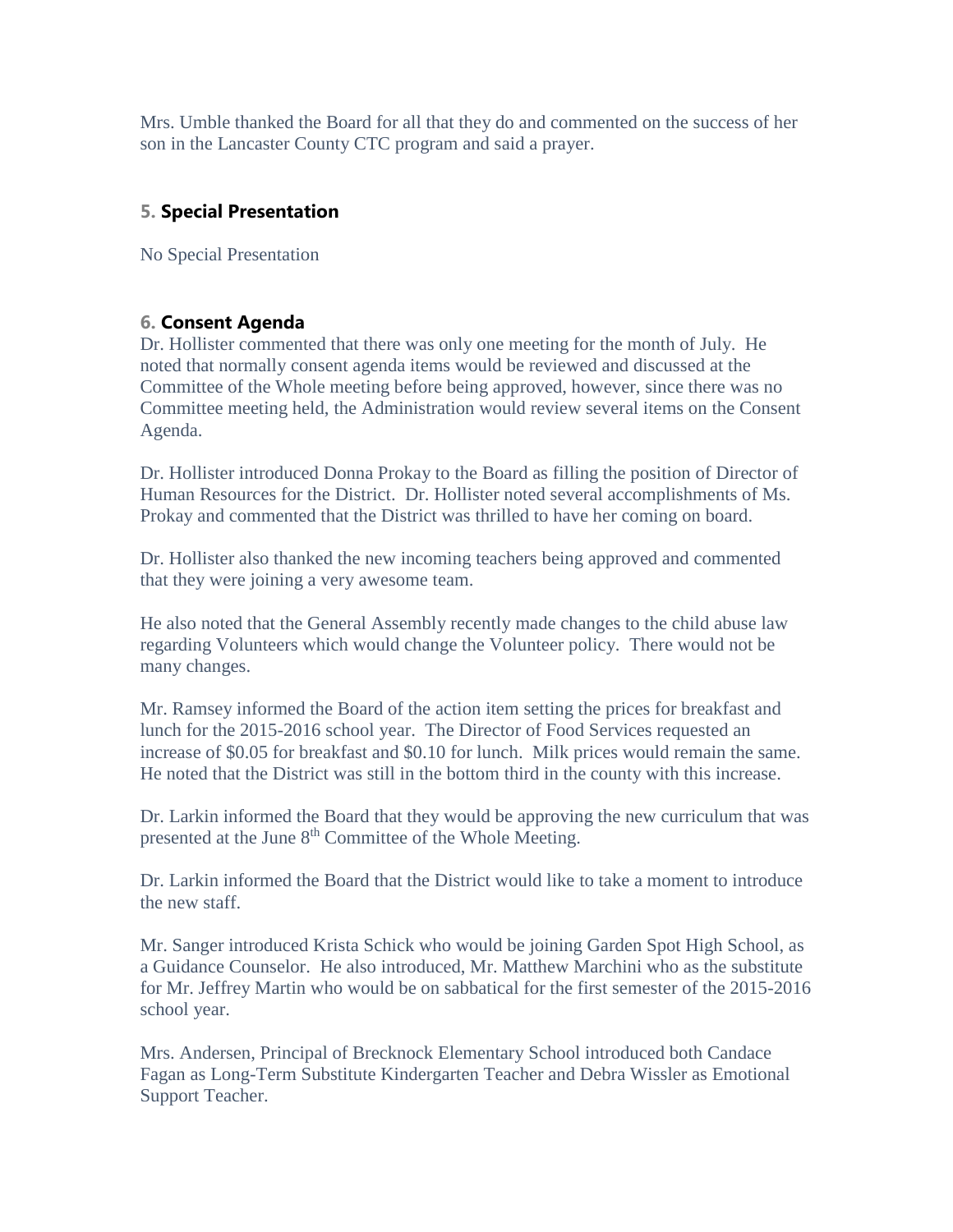Mrs. Umble thanked the Board for all that they do and commented on the success of her son in the Lancaster County CTC program and said a prayer.

# **5. Special Presentation**

No Special Presentation

# **6. Consent Agenda**

Dr. Hollister commented that there was only one meeting for the month of July. He noted that normally consent agenda items would be reviewed and discussed at the Committee of the Whole meeting before being approved, however, since there was no Committee meeting held, the Administration would review several items on the Consent Agenda.

Dr. Hollister introduced Donna Prokay to the Board as filling the position of Director of Human Resources for the District. Dr. Hollister noted several accomplishments of Ms. Prokay and commented that the District was thrilled to have her coming on board.

Dr. Hollister also thanked the new incoming teachers being approved and commented that they were joining a very awesome team.

He also noted that the General Assembly recently made changes to the child abuse law regarding Volunteers which would change the Volunteer policy. There would not be many changes.

Mr. Ramsey informed the Board of the action item setting the prices for breakfast and lunch for the 2015-2016 school year. The Director of Food Services requested an increase of \$0.05 for breakfast and \$0.10 for lunch. Milk prices would remain the same. He noted that the District was still in the bottom third in the county with this increase.

Dr. Larkin informed the Board that they would be approving the new curriculum that was presented at the June 8<sup>th</sup> Committee of the Whole Meeting.

Dr. Larkin informed the Board that the District would like to take a moment to introduce the new staff.

Mr. Sanger introduced Krista Schick who would be joining Garden Spot High School, as a Guidance Counselor. He also introduced, Mr. Matthew Marchini who as the substitute for Mr. Jeffrey Martin who would be on sabbatical for the first semester of the 2015-2016 school year.

Mrs. Andersen, Principal of Brecknock Elementary School introduced both Candace Fagan as Long-Term Substitute Kindergarten Teacher and Debra Wissler as Emotional Support Teacher.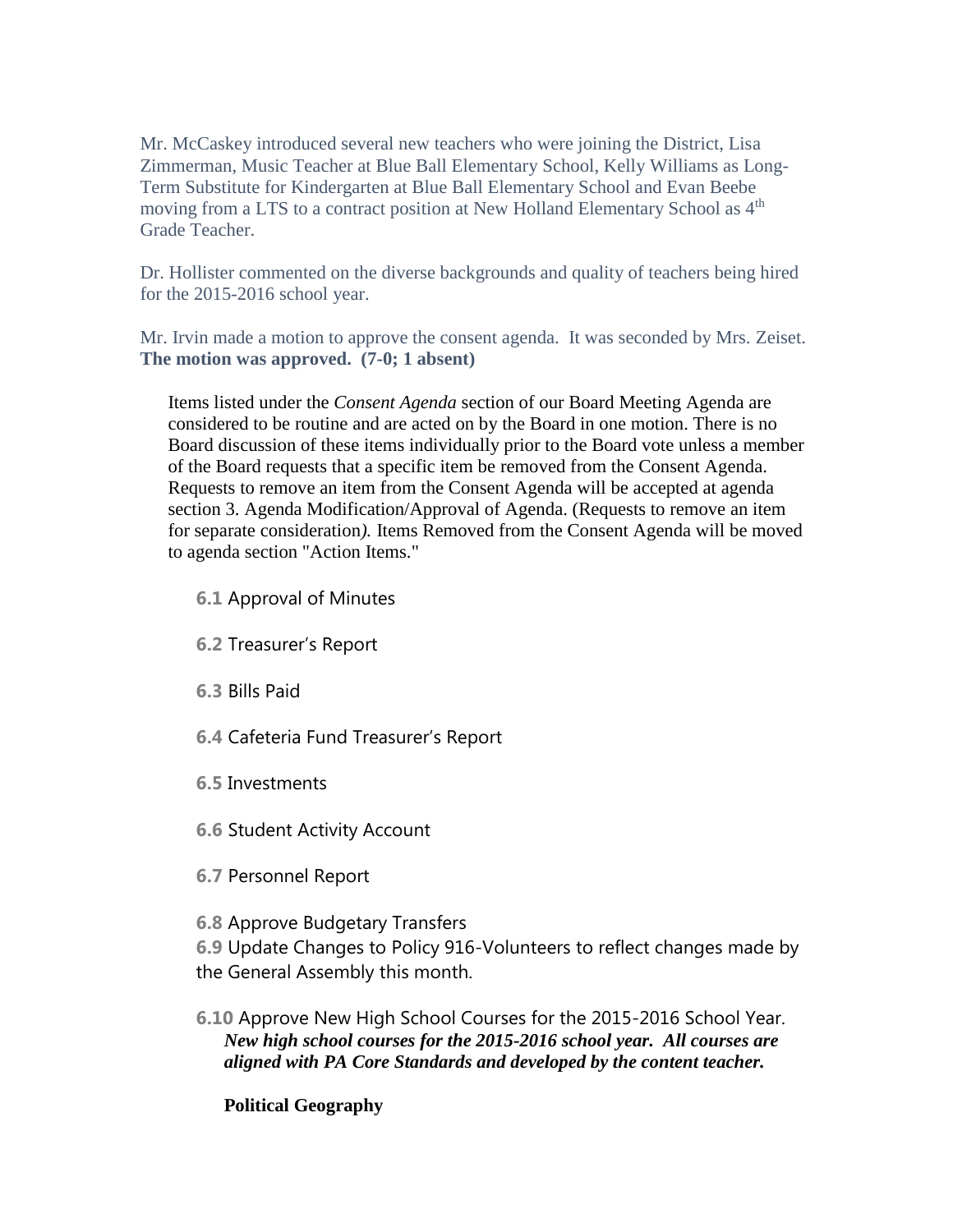Mr. McCaskey introduced several new teachers who were joining the District, Lisa Zimmerman, Music Teacher at Blue Ball Elementary School, Kelly Williams as Long-Term Substitute for Kindergarten at Blue Ball Elementary School and Evan Beebe moving from a LTS to a contract position at New Holland Elementary School as  $4<sup>th</sup>$ Grade Teacher.

Dr. Hollister commented on the diverse backgrounds and quality of teachers being hired for the 2015-2016 school year.

Mr. Irvin made a motion to approve the consent agenda. It was seconded by Mrs. Zeiset. **The motion was approved. (7-0; 1 absent)**

Items listed under the *Consent Agenda* section of our Board Meeting Agenda are considered to be routine and are acted on by the Board in one motion. There is no Board discussion of these items individually prior to the Board vote unless a member of the Board requests that a specific item be removed from the Consent Agenda. Requests to remove an item from the Consent Agenda will be accepted at agenda section 3. Agenda Modification/Approval of Agenda. (Requests to remove an item for separate consideration*).* Items Removed from the Consent Agenda will be moved to agenda section "Action Items."

- **6.1** Approval of Minutes
- **6.2** Treasurer's Report
- **6.3** Bills Paid
- **6.4** Cafeteria Fund Treasurer's Report
- **6.5** Investments
- **6.6** Student Activity Account
- **6.7** Personnel Report
- **6.8** Approve Budgetary Transfers

**6.9** Update Changes to Policy 916-Volunteers to reflect changes made by the General Assembly this month.

**6.10** Approve New High School Courses for the 2015-2016 School Year. *New high school courses for the 2015-2016 school year. All courses are aligned with PA Core Standards and developed by the content teacher.*

# **Political Geography**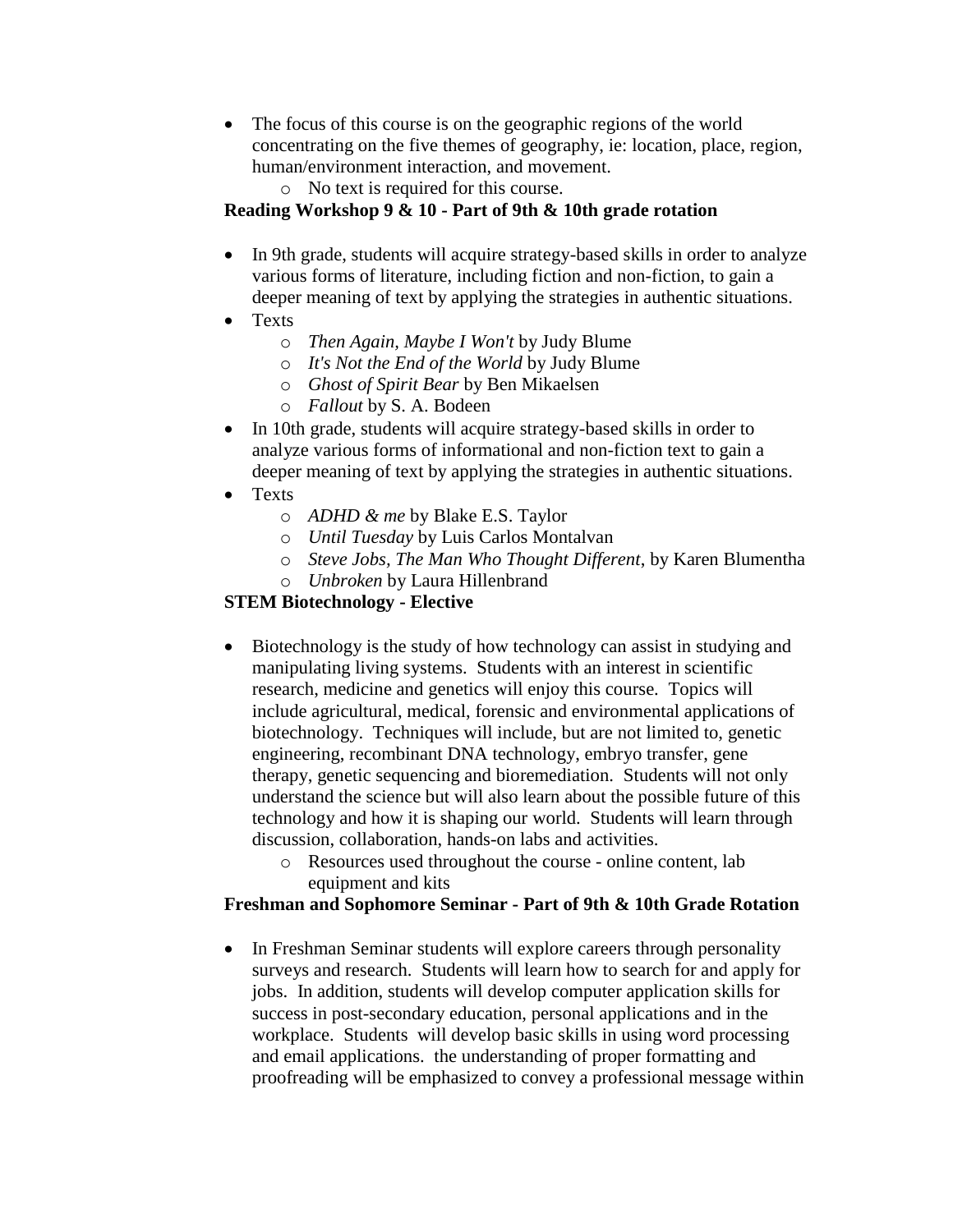- The focus of this course is on the geographic regions of the world concentrating on the five themes of geography, ie: location, place, region, human/environment interaction, and movement.
	- o No text is required for this course.

## **Reading Workshop 9 & 10 - Part of 9th & 10th grade rotation**

- In 9th grade, students will acquire strategy-based skills in order to analyze various forms of literature, including fiction and non-fiction, to gain a deeper meaning of text by applying the strategies in authentic situations.
- Texts
	- o *Then Again, Maybe I Won't* by Judy Blume
	- o *It's Not the End of the World* by Judy Blume
	- o *Ghost of Spirit Bear* by Ben Mikaelsen
	- o *Fallout* by S. A. Bodeen
- In 10th grade, students will acquire strategy-based skills in order to analyze various forms of informational and non-fiction text to gain a deeper meaning of text by applying the strategies in authentic situations.
- Texts
	- o *ADHD & me* by Blake E.S. Taylor
	- o *Until Tuesday* by Luis Carlos Montalvan
	- o *Steve Jobs, The Man Who Thought Different*, by Karen Blumentha
	- o *Unbroken* by Laura Hillenbrand

# **STEM Biotechnology - Elective**

- Biotechnology is the study of how technology can assist in studying and manipulating living systems. Students with an interest in scientific research, medicine and genetics will enjoy this course. Topics will include agricultural, medical, forensic and environmental applications of biotechnology. Techniques will include, but are not limited to, genetic engineering, recombinant DNA technology, embryo transfer, gene therapy, genetic sequencing and bioremediation. Students will not only understand the science but will also learn about the possible future of this technology and how it is shaping our world. Students will learn through discussion, collaboration, hands-on labs and activities.
	- o Resources used throughout the course online content, lab equipment and kits

## **Freshman and Sophomore Seminar - Part of 9th & 10th Grade Rotation**

• In Freshman Seminar students will explore careers through personality surveys and research. Students will learn how to search for and apply for jobs. In addition, students will develop computer application skills for success in post-secondary education, personal applications and in the workplace. Students will develop basic skills in using word processing and email applications. the understanding of proper formatting and proofreading will be emphasized to convey a professional message within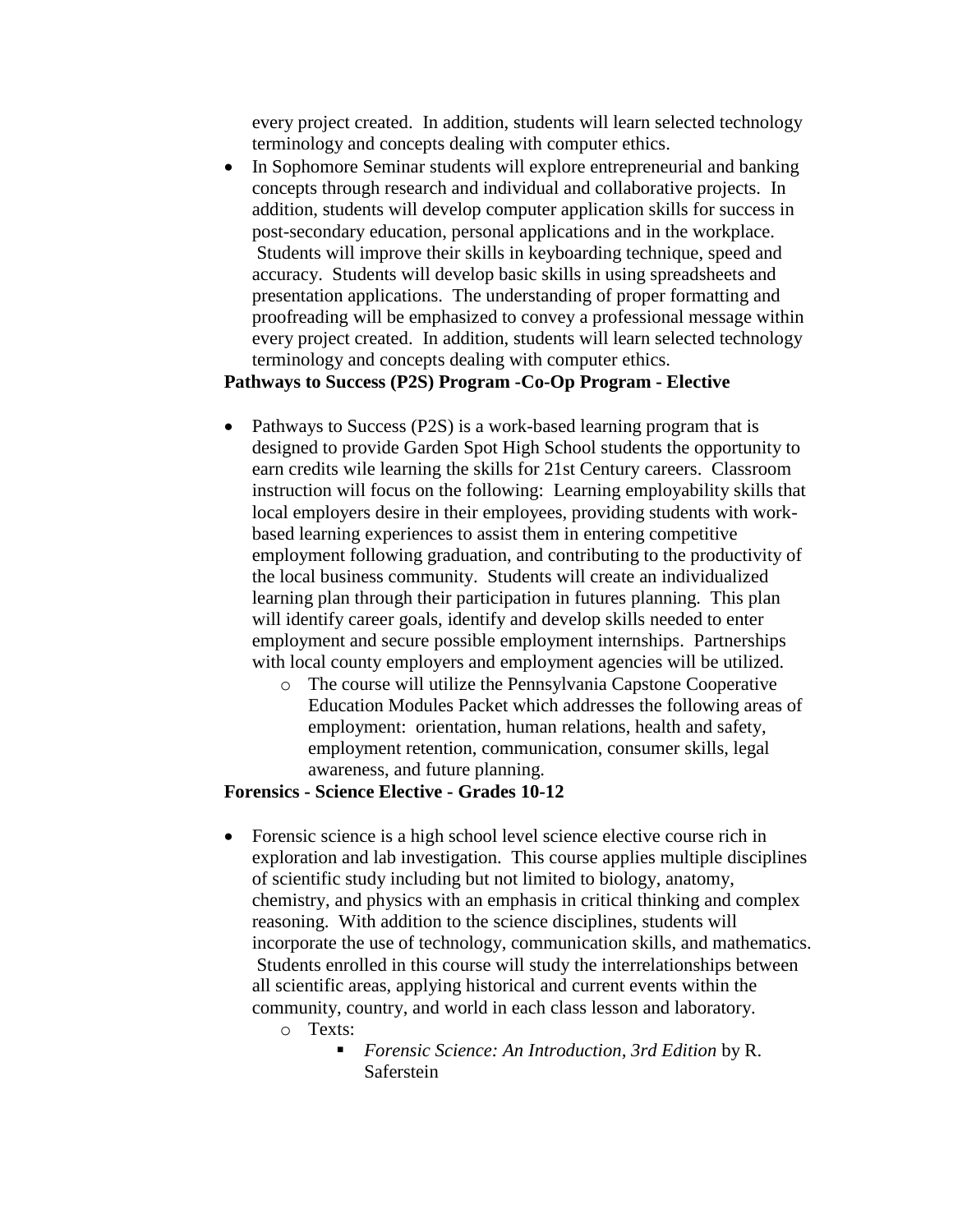every project created. In addition, students will learn selected technology terminology and concepts dealing with computer ethics.

• In Sophomore Seminar students will explore entrepreneurial and banking concepts through research and individual and collaborative projects. In addition, students will develop computer application skills for success in post-secondary education, personal applications and in the workplace. Students will improve their skills in keyboarding technique, speed and accuracy. Students will develop basic skills in using spreadsheets and presentation applications. The understanding of proper formatting and proofreading will be emphasized to convey a professional message within every project created. In addition, students will learn selected technology terminology and concepts dealing with computer ethics.

## **Pathways to Success (P2S) Program -Co-Op Program - Elective**

- Pathways to Success (P2S) is a work-based learning program that is designed to provide Garden Spot High School students the opportunity to earn credits wile learning the skills for 21st Century careers. Classroom instruction will focus on the following: Learning employability skills that local employers desire in their employees, providing students with workbased learning experiences to assist them in entering competitive employment following graduation, and contributing to the productivity of the local business community. Students will create an individualized learning plan through their participation in futures planning. This plan will identify career goals, identify and develop skills needed to enter employment and secure possible employment internships. Partnerships with local county employers and employment agencies will be utilized.
	- o The course will utilize the Pennsylvania Capstone Cooperative Education Modules Packet which addresses the following areas of employment: orientation, human relations, health and safety, employment retention, communication, consumer skills, legal awareness, and future planning.

#### **Forensics - Science Elective - Grades 10-12**

- Forensic science is a high school level science elective course rich in exploration and lab investigation. This course applies multiple disciplines of scientific study including but not limited to biology, anatomy, chemistry, and physics with an emphasis in critical thinking and complex reasoning. With addition to the science disciplines, students will incorporate the use of technology, communication skills, and mathematics. Students enrolled in this course will study the interrelationships between all scientific areas, applying historical and current events within the community, country, and world in each class lesson and laboratory.
	- o Texts:
		- *Forensic Science: An Introduction, 3rd Edition* by R. Saferstein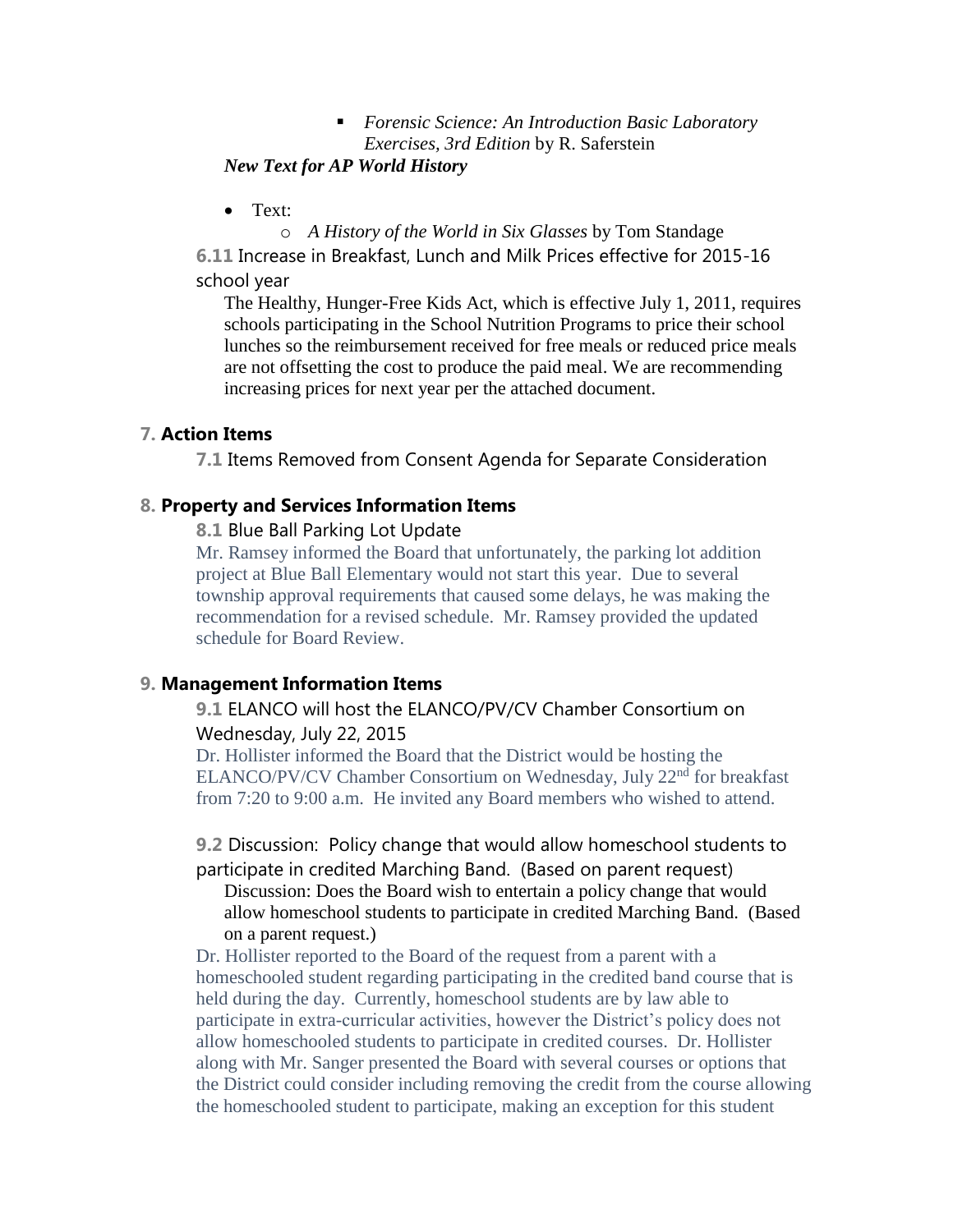## *Forensic Science: An Introduction Basic Laboratory Exercises, 3rd Edition* by R. Saferstein

## *New Text for AP World History*

• Text:

o *A History of the World in Six Glasses* by Tom Standage **6.11** Increase in Breakfast, Lunch and Milk Prices effective for 2015-16 school year

The Healthy, Hunger-Free Kids Act, which is effective July 1, 2011, requires schools participating in the School Nutrition Programs to price their school lunches so the reimbursement received for free meals or reduced price meals are not offsetting the cost to produce the paid meal. We are recommending increasing prices for next year per the attached document.

## **7. Action Items**

**7.1** Items Removed from Consent Agenda for Separate Consideration

## **8. Property and Services Information Items**

**8.1** Blue Ball Parking Lot Update

Mr. Ramsey informed the Board that unfortunately, the parking lot addition project at Blue Ball Elementary would not start this year. Due to several township approval requirements that caused some delays, he was making the recommendation for a revised schedule. Mr. Ramsey provided the updated schedule for Board Review.

# **9. Management Information Items**

## **9.1** ELANCO will host the ELANCO/PV/CV Chamber Consortium on Wednesday, July 22, 2015

Dr. Hollister informed the Board that the District would be hosting the ELANCO/PV/CV Chamber Consortium on Wednesday, July 22<sup>nd</sup> for breakfast from 7:20 to 9:00 a.m. He invited any Board members who wished to attend.

**9.2** Discussion: Policy change that would allow homeschool students to participate in credited Marching Band. (Based on parent request)

Discussion: Does the Board wish to entertain a policy change that would allow homeschool students to participate in credited Marching Band. (Based on a parent request.)

Dr. Hollister reported to the Board of the request from a parent with a homeschooled student regarding participating in the credited band course that is held during the day. Currently, homeschool students are by law able to participate in extra-curricular activities, however the District's policy does not allow homeschooled students to participate in credited courses. Dr. Hollister along with Mr. Sanger presented the Board with several courses or options that the District could consider including removing the credit from the course allowing the homeschooled student to participate, making an exception for this student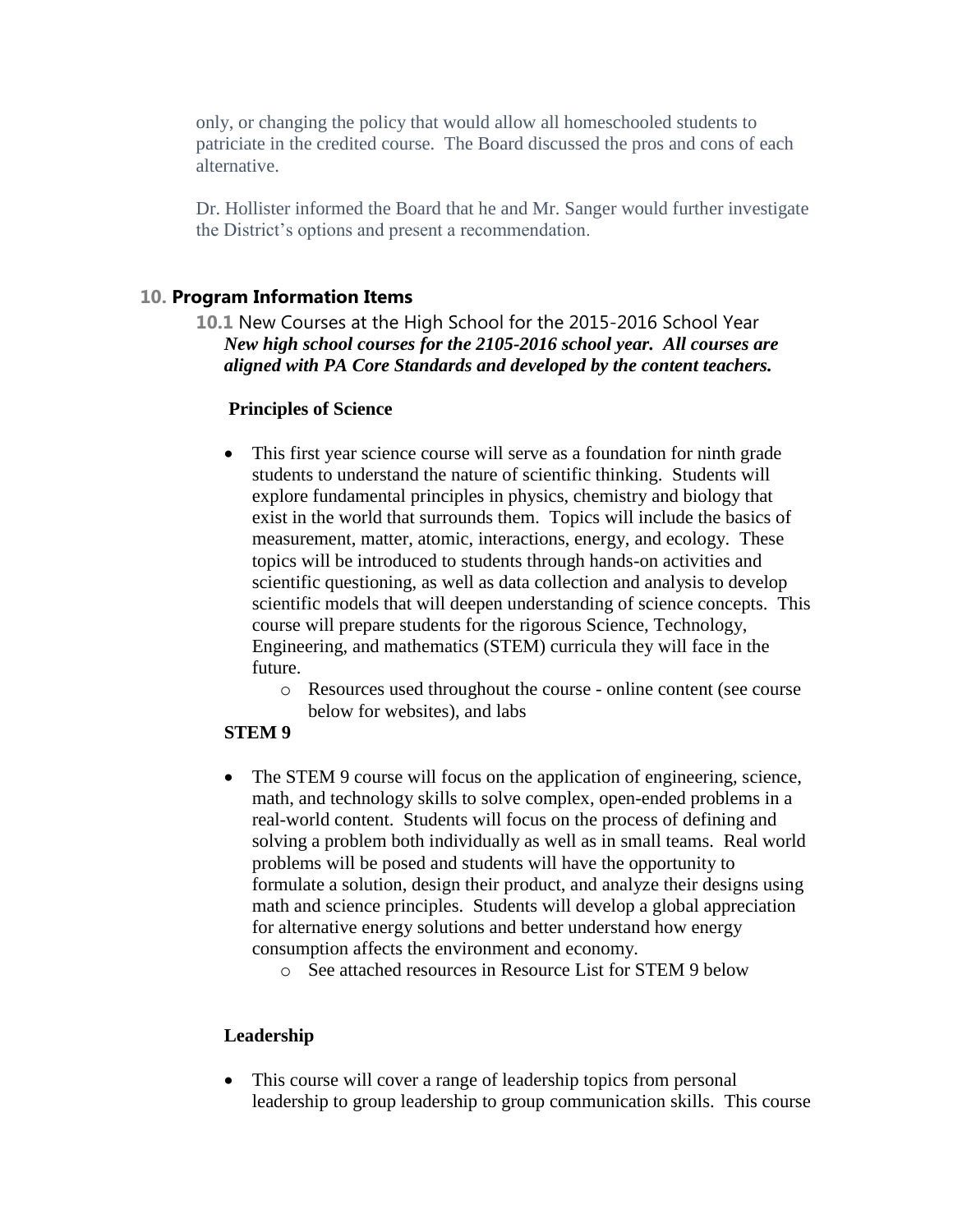only, or changing the policy that would allow all homeschooled students to patriciate in the credited course. The Board discussed the pros and cons of each alternative.

Dr. Hollister informed the Board that he and Mr. Sanger would further investigate the District's options and present a recommendation.

## **10. Program Information Items**

**10.1** New Courses at the High School for the 2015-2016 School Year *New high school courses for the 2105-2016 school year. All courses are aligned with PA Core Standards and developed by the content teachers.*

## **Principles of Science**

- This first year science course will serve as a foundation for ninth grade students to understand the nature of scientific thinking. Students will explore fundamental principles in physics, chemistry and biology that exist in the world that surrounds them. Topics will include the basics of measurement, matter, atomic, interactions, energy, and ecology. These topics will be introduced to students through hands-on activities and scientific questioning, as well as data collection and analysis to develop scientific models that will deepen understanding of science concepts. This course will prepare students for the rigorous Science, Technology, Engineering, and mathematics (STEM) curricula they will face in the future.
	- o Resources used throughout the course online content (see course below for websites), and labs

#### **STEM 9**

- The STEM 9 course will focus on the application of engineering, science, math, and technology skills to solve complex, open-ended problems in a real-world content. Students will focus on the process of defining and solving a problem both individually as well as in small teams. Real world problems will be posed and students will have the opportunity to formulate a solution, design their product, and analyze their designs using math and science principles. Students will develop a global appreciation for alternative energy solutions and better understand how energy consumption affects the environment and economy.
	- o See attached resources in Resource List for STEM 9 below

# **Leadership**

• This course will cover a range of leadership topics from personal leadership to group leadership to group communication skills. This course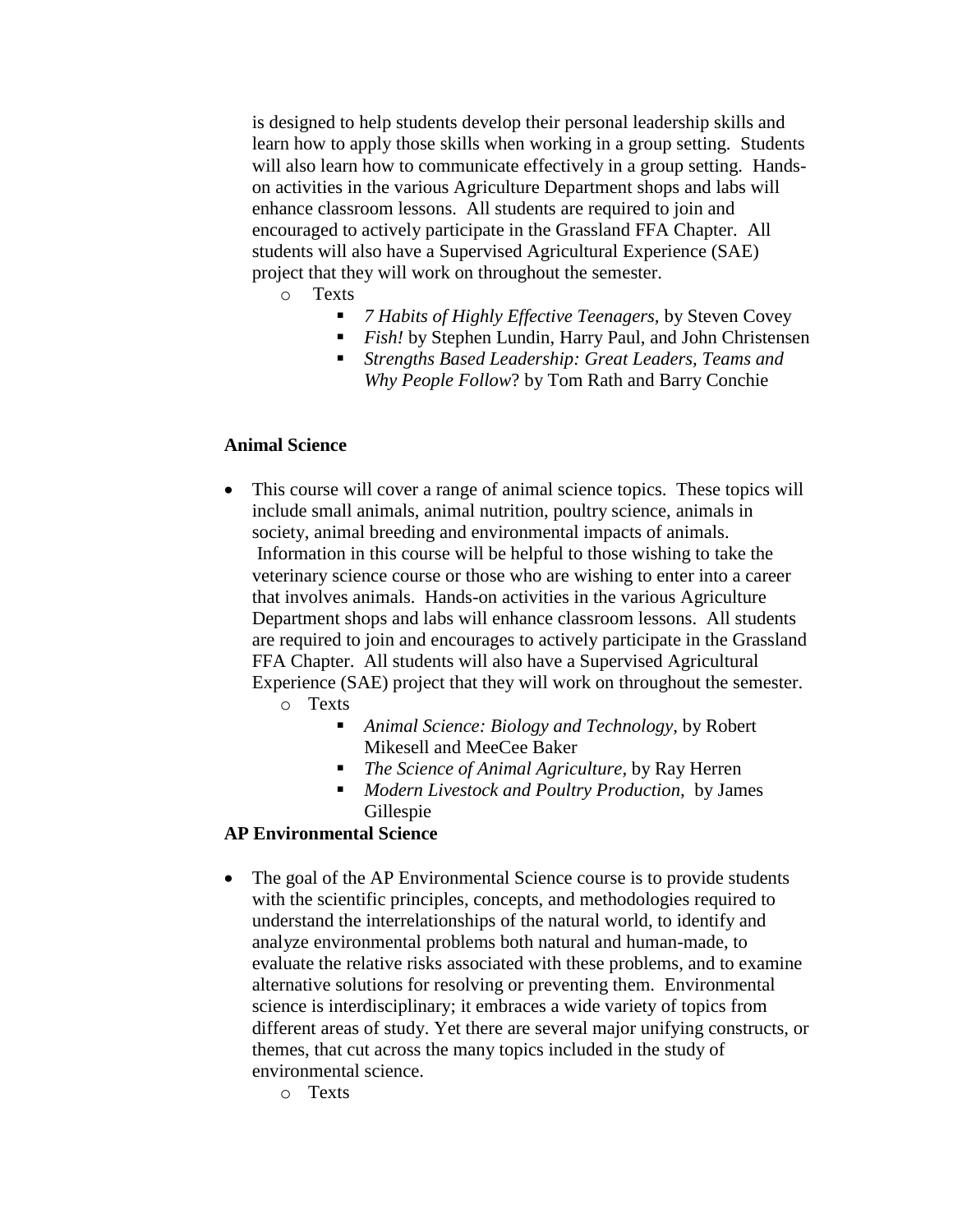is designed to help students develop their personal leadership skills and learn how to apply those skills when working in a group setting. Students will also learn how to communicate effectively in a group setting. Handson activities in the various Agriculture Department shops and labs will enhance classroom lessons. All students are required to join and encouraged to actively participate in the Grassland FFA Chapter. All students will also have a Supervised Agricultural Experience (SAE) project that they will work on throughout the semester.

- o Texts
	- *7 Habits of Highly Effective Teenagers,* by Steven Covey
	- *Fish!* by Stephen Lundin, Harry Paul, and John Christensen
	- *Strengths Based Leadership: Great Leaders, Teams and Why People Follow*? by Tom Rath and Barry Conchie

#### **Animal Science**

- This course will cover a range of animal science topics. These topics will include small animals, animal nutrition, poultry science, animals in society, animal breeding and environmental impacts of animals. Information in this course will be helpful to those wishing to take the veterinary science course or those who are wishing to enter into a career that involves animals. Hands-on activities in the various Agriculture Department shops and labs will enhance classroom lessons. All students are required to join and encourages to actively participate in the Grassland FFA Chapter. All students will also have a Supervised Agricultural Experience (SAE) project that they will work on throughout the semester.
	- o Texts
		- *Animal Science: Biology and Technology,* by Robert Mikesell and MeeCee Baker
		- *The Science of Animal Agriculture,* by Ray Herren
		- *Modern Livestock and Poultry Production,* by James Gillespie

#### **AP Environmental Science**

- The goal of the AP Environmental Science course is to provide students with the scientific principles, concepts, and methodologies required to understand the interrelationships of the natural world, to identify and analyze environmental problems both natural and human-made, to evaluate the relative risks associated with these problems, and to examine alternative solutions for resolving or preventing them. Environmental science is interdisciplinary; it embraces a wide variety of topics from different areas of study. Yet there are several major unifying constructs, or themes, that cut across the many topics included in the study of environmental science.
	- o Texts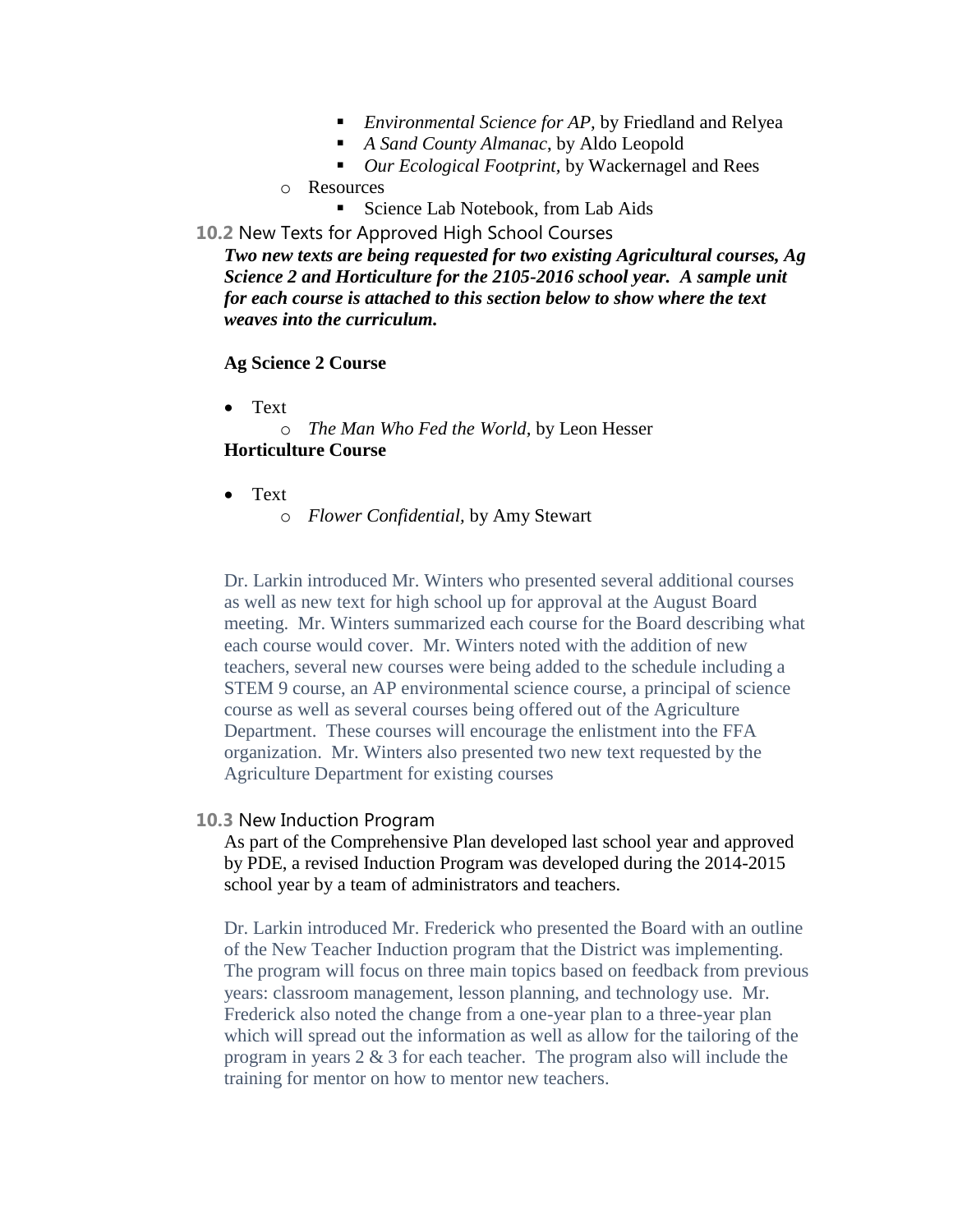- *Environmental Science for AP,* by Friedland and Relyea
- *A Sand County Almanac*, by Aldo Leopold
- *Our Ecological Footprint,* by Wackernagel and Rees
- o Resources
	- Science Lab Notebook, from Lab Aids
- **10.2** New Texts for Approved High School Courses

*Two new texts are being requested for two existing Agricultural courses, Ag Science 2 and Horticulture for the 2105-2016 school year. A sample unit for each course is attached to this section below to show where the text weaves into the curriculum.*

#### **Ag Science 2 Course**

Text

o *The Man Who Fed the World,* by Leon Hesser **Horticulture Course**

- Text
	- o *Flower Confidential,* by Amy Stewart

Dr. Larkin introduced Mr. Winters who presented several additional courses as well as new text for high school up for approval at the August Board meeting. Mr. Winters summarized each course for the Board describing what each course would cover. Mr. Winters noted with the addition of new teachers, several new courses were being added to the schedule including a STEM 9 course, an AP environmental science course, a principal of science course as well as several courses being offered out of the Agriculture Department. These courses will encourage the enlistment into the FFA organization. Mr. Winters also presented two new text requested by the Agriculture Department for existing courses

#### **10.3** New Induction Program

As part of the Comprehensive Plan developed last school year and approved by PDE, a revised Induction Program was developed during the 2014-2015 school year by a team of administrators and teachers.

Dr. Larkin introduced Mr. Frederick who presented the Board with an outline of the New Teacher Induction program that the District was implementing. The program will focus on three main topics based on feedback from previous years: classroom management, lesson planning, and technology use. Mr. Frederick also noted the change from a one-year plan to a three-year plan which will spread out the information as well as allow for the tailoring of the program in years 2 & 3 for each teacher. The program also will include the training for mentor on how to mentor new teachers.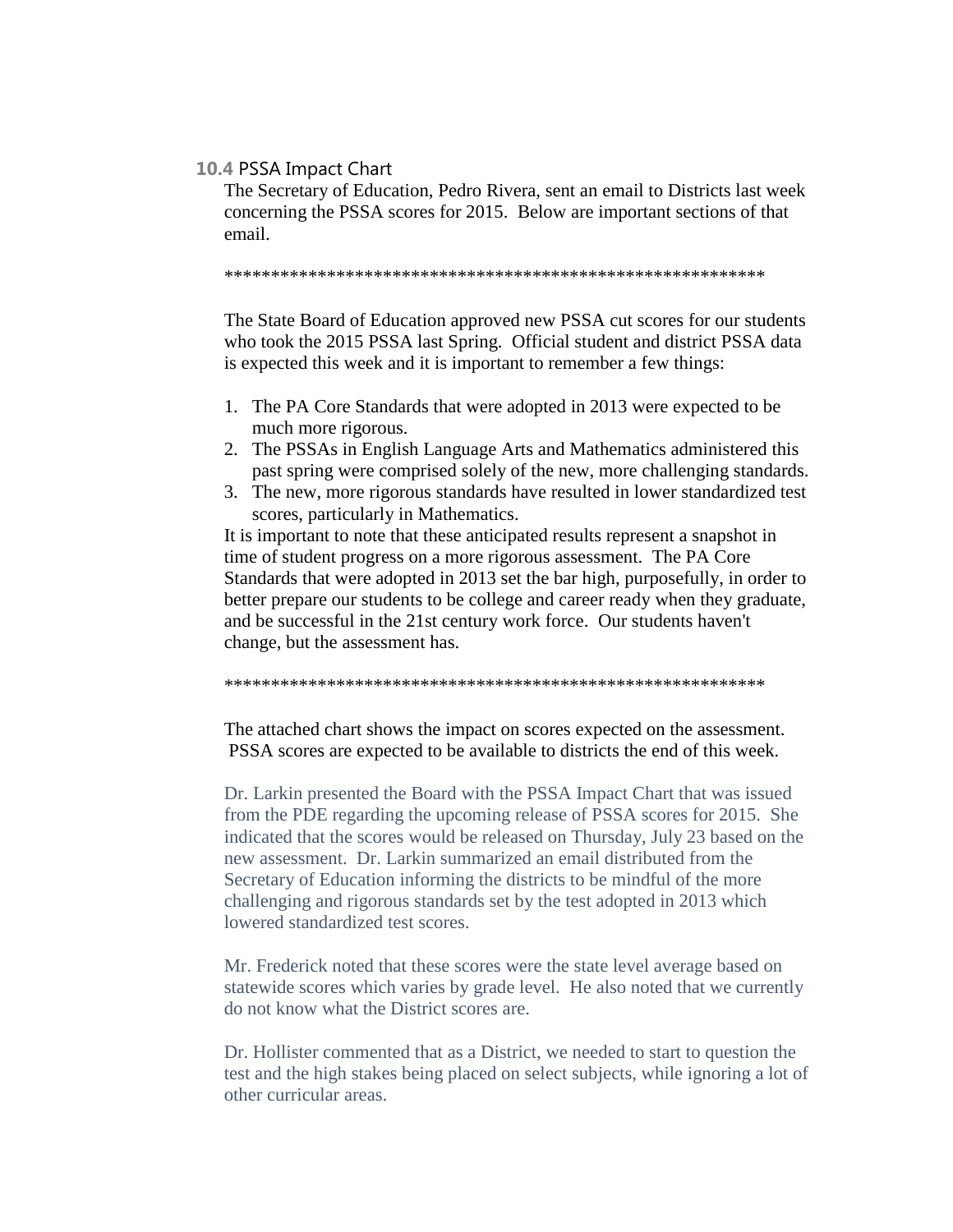#### **10.4** PSSA Impact Chart

The Secretary of Education, Pedro Rivera, sent an email to Districts last week concerning the PSSA scores for 2015. Below are important sections of that email.

\*\*\*\*\*\*\*\*\*\*\*\*\*\*\*\*\*\*\*\*\*\*\*\*\*\*\*\*\*\*\*\*\*\*\*\*\*\*\*\*\*\*\*\*\*\*\*\*\*\*\*\*\*\*\*\*\*\*

The State Board of Education approved new PSSA cut scores for our students who took the 2015 PSSA last Spring. Official student and district PSSA data is expected this week and it is important to remember a few things:

- 1. The PA Core Standards that were adopted in 2013 were expected to be much more rigorous.
- 2. The PSSAs in English Language Arts and Mathematics administered this past spring were comprised solely of the new, more challenging standards.
- 3. The new, more rigorous standards have resulted in lower standardized test scores, particularly in Mathematics.

It is important to note that these anticipated results represent a snapshot in time of student progress on a more rigorous assessment. The PA Core Standards that were adopted in 2013 set the bar high, purposefully, in order to better prepare our students to be college and career ready when they graduate, and be successful in the 21st century work force. Our students haven't change, but the assessment has.

\*\*\*\*\*\*\*\*\*\*\*\*\*\*\*\*\*\*\*\*\*\*\*\*\*\*\*\*\*\*\*\*\*\*\*\*\*\*\*\*\*\*\*\*\*\*\*\*\*\*\*\*\*\*\*\*\*\*

The attached chart shows the impact on scores expected on the assessment. PSSA scores are expected to be available to districts the end of this week.

Dr. Larkin presented the Board with the PSSA Impact Chart that was issued from the PDE regarding the upcoming release of PSSA scores for 2015. She indicated that the scores would be released on Thursday, July 23 based on the new assessment. Dr. Larkin summarized an email distributed from the Secretary of Education informing the districts to be mindful of the more challenging and rigorous standards set by the test adopted in 2013 which lowered standardized test scores.

Mr. Frederick noted that these scores were the state level average based on statewide scores which varies by grade level. He also noted that we currently do not know what the District scores are.

Dr. Hollister commented that as a District, we needed to start to question the test and the high stakes being placed on select subjects, while ignoring a lot of other curricular areas.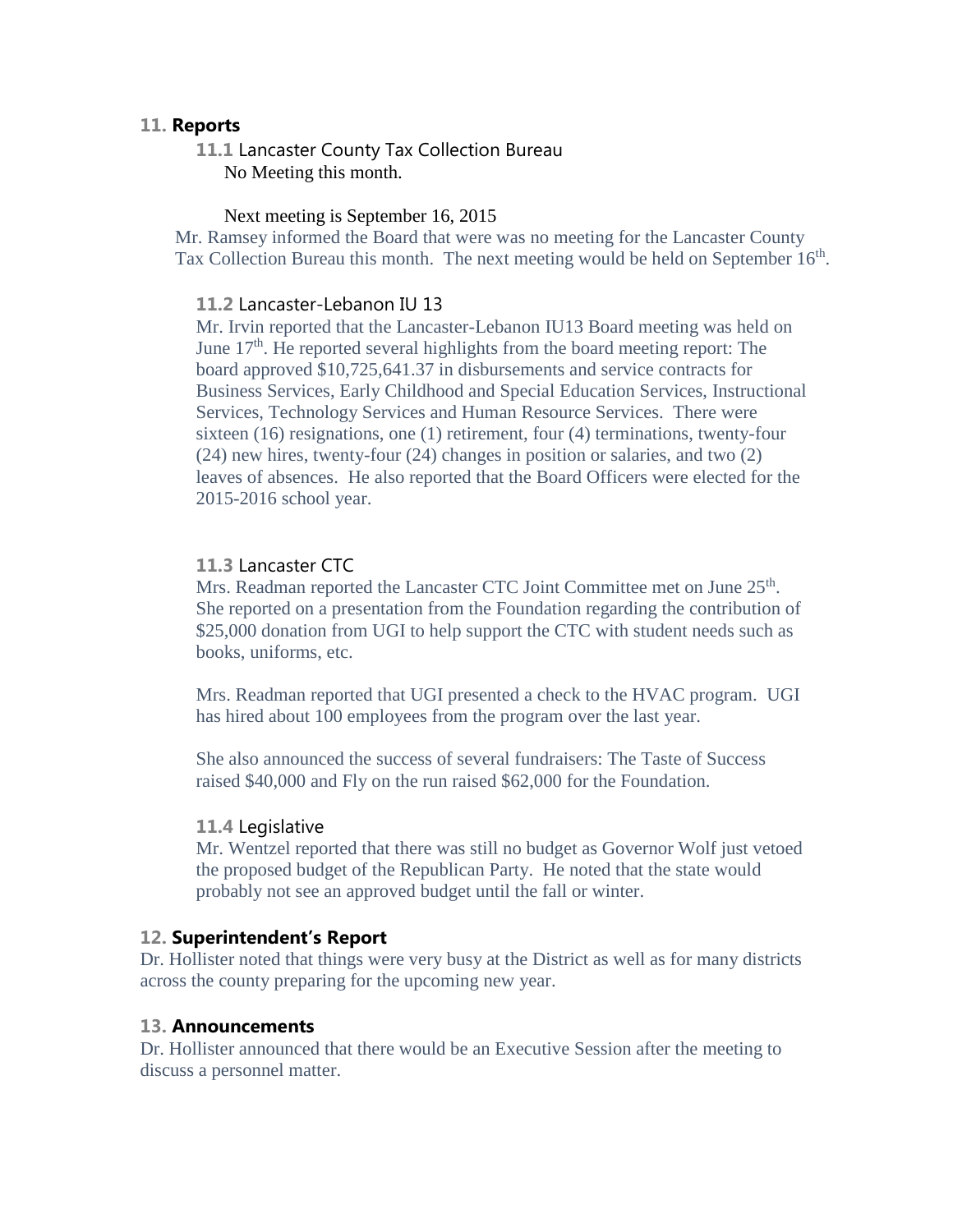#### **11. Reports**

**11.1** Lancaster County Tax Collection Bureau No Meeting this month.

#### Next meeting is September 16, 2015

Mr. Ramsey informed the Board that were was no meeting for the Lancaster County Tax Collection Bureau this month. The next meeting would be held on September 16<sup>th</sup>.

#### **11.2** Lancaster-Lebanon IU 13

Mr. Irvin reported that the Lancaster-Lebanon IU13 Board meeting was held on June 17<sup>th</sup>. He reported several highlights from the board meeting report: The board approved \$10,725,641.37 in disbursements and service contracts for Business Services, Early Childhood and Special Education Services, Instructional Services, Technology Services and Human Resource Services. There were sixteen (16) resignations, one (1) retirement, four (4) terminations, twenty-four (24) new hires, twenty-four (24) changes in position or salaries, and two (2) leaves of absences. He also reported that the Board Officers were elected for the 2015-2016 school year.

#### **11.3** Lancaster CTC

Mrs. Readman reported the Lancaster CTC Joint Committee met on June 25<sup>th</sup>. She reported on a presentation from the Foundation regarding the contribution of \$25,000 donation from UGI to help support the CTC with student needs such as books, uniforms, etc.

Mrs. Readman reported that UGI presented a check to the HVAC program. UGI has hired about 100 employees from the program over the last year.

She also announced the success of several fundraisers: The Taste of Success raised \$40,000 and Fly on the run raised \$62,000 for the Foundation.

#### **11.4** Legislative

Mr. Wentzel reported that there was still no budget as Governor Wolf just vetoed the proposed budget of the Republican Party. He noted that the state would probably not see an approved budget until the fall or winter.

#### **12. Superintendent's Report**

Dr. Hollister noted that things were very busy at the District as well as for many districts across the county preparing for the upcoming new year.

#### **13. Announcements**

Dr. Hollister announced that there would be an Executive Session after the meeting to discuss a personnel matter.